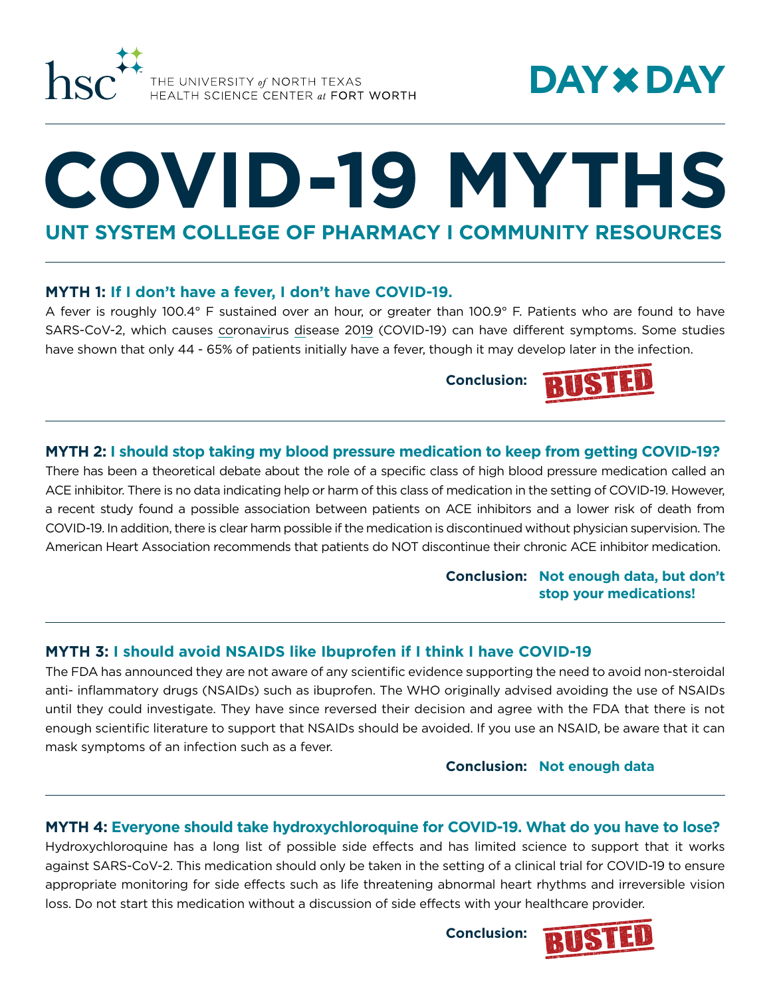

# **DAY DAY**

# **COVID-19 MYTHS**

**UNT SYSTEM COLLEGE OF PHARMACY I COMMUNITY RESOURCES**

### **MYTH 1: If I don't have a fever, I don't have COVID-19.**

A fever is roughly 100.4° F sustained over an hour, or greater than 100.9° F. Patients who are found to have SARS-CoV-2, which causes coronavirus disease 2019 (COVID-19) can have different symptoms. Some studies have shown that only 44 - 65% of patients initially have a fever, though it may develop later in the infection.

**Conclusion:**



# **MYTH 2: I should stop taking my blood pressure medication to keep from getting COVID-19?**

There has been a theoretical debate about the role of a specific class of high blood pressure medication called an ACE inhibitor. There is no data indicating help or harm of this class of medication in the setting of COVID-19. However, a recent study found a possible association between patients on ACE inhibitors and a lower risk of death from COVID-19. In addition, there is clear harm possible if the medication is discontinued without physician supervision. The American Heart Association recommends that patients do NOT discontinue their chronic ACE inhibitor medication.

> **Conclusion: Not enough data, but don't stop your medications!**

# **MYTH 3: I should avoid NSAIDS like Ibuprofen if I think I have COVID-19**

The FDA has announced they are not aware of any scientific evidence supporting the need to avoid non-steroidal anti- inflammatory drugs (NSAIDs) such as ibuprofen. The WHO originally advised avoiding the use of NSAIDs until they could investigate. They have since reversed their decision and agree with the FDA that there is not enough scientific literature to support that NSAIDs should be avoided. If you use an NSAID, be aware that it can mask symptoms of an infection such as a fever.

**Conclusion: Not enough data**

## **MYTH 4: Everyone should take hydroxychloroquine for COVID-19. What do you have to lose?**

Hydroxychloroquine has a long list of possible side effects and has limited science to support that it works against SARS-CoV-2. This medication should only be taken in the setting of a clinical trial for COVID-19 to ensure appropriate monitoring for side effects such as life threatening abnormal heart rhythms and irreversible vision loss. Do not start this medication without a discussion of side effects with your healthcare provider.

**Conclusion:**